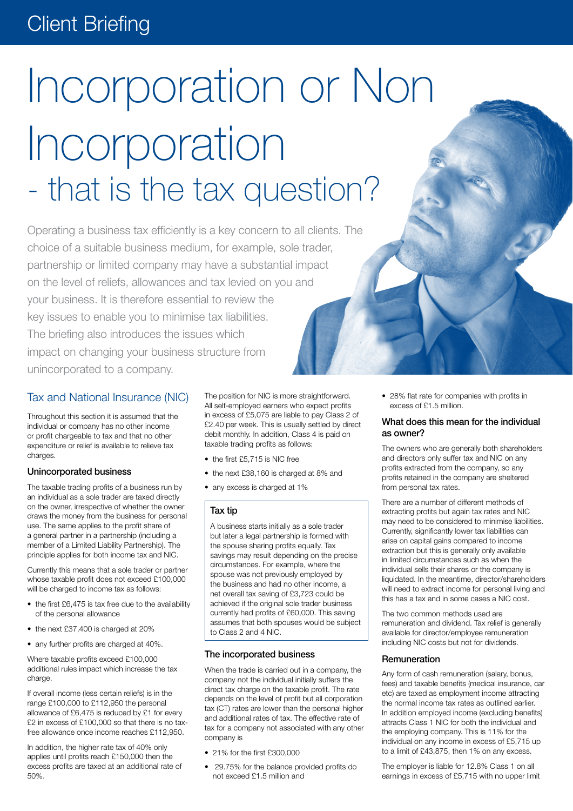# Client Briefing

# Incorporation or Non Incorporation - that is the tax question?

Operating a business tax efficiently is a key concern to all clients. The choice of a suitable business medium, for example, sole trader, partnership or limited company may have a substantial impact on the level of reliefs, allowances and tax levied on you and your business. It is therefore essential to review the key issues to enable you to minimise tax liabilities. The briefing also introduces the issues which impact on changing your business structure from unincorporated to a company.

#### Tax and National Insurance (NIC)

Throughout this section it is assumed that the individual or company has no other income or profit chargeable to tax and that no other expenditure or relief is available to relieve tax charges

#### Unincorporated business

The taxable trading profits of a business run by an individual as a sole trader are taxed directly on the owner, irrespective of whether the owner draws the money from the business for personal use. The same applies to the profit share of a general partner in a partnership (including a member of a Limited Liability Partnership). The principle applies for both income tax and NIC.

Currently this means that a sole trader or partner whose taxable profit does not exceed £100,000 will be charged to income tax as follows:

- the first £6,475 is tax free due to the availability of the personal allowance
- the next £37,400 is charged at 20%
- any further profits are charged at 40%.

Where taxable profits exceed £100,000 additional rules impact which increase the tax charge.

If overall income (less certain reliefs) is in the range £100,000 to £112,950 the personal allowance of £6,475 is reduced by £1 for every £2 in excess of £100,000 so that there is no taxfree allowance once income reaches £112,950.

In addition, the higher rate tax of 40% only applies until profits reach £150,000 then the excess profits are taxed at an additional rate of 50%.

The position for NIC is more straightforward. All self-employed earners who expect profits in excess of £5,075 are liable to pay Class 2 of £2.40 per week. This is usually settled by direct debit monthly. In addition, Class 4 is paid on taxable trading profits as follows:

- the first £5,715 is NIC free
- the next £38,160 is charged at 8% and
- any excess is charged at 1%

#### Tax tip

A business starts initially as a sole trader but later a legal partnership is formed with the spouse sharing profits equally. Tax savings may result depending on the precise circumstances. For example, where the spouse was not previously employed by the business and had no other income, a net overall tax saving of £3,723 could be achieved if the original sole trader business currently had profits of £60,000. This saving assumes that both spouses would be subject to Class 2 and 4 NIC.

#### The incorporated business

When the trade is carried out in a company, the company not the individual initially suffers the direct tax charge on the taxable profit. The rate depends on the level of profit but all corporation tax (CT) rates are lower than the personal higher and additional rates of tax. The effective rate of tax for a company not associated with any other company is

- 21% for the first £300,000
- • 29.75% for the balance provided profits do not exceed £1.5 million and

• 28% flat rate for companies with profits in excess of £1.5 million.

#### What does this mean for the individual as owner?

The owners who are generally both shareholders and directors only suffer tax and NIC on any profits extracted from the company, so any profits retained in the company are sheltered from personal tax rates.

There are a number of different methods of extracting profits but again tax rates and NIC may need to be considered to minimise liabilities. Currently, significantly lower tax liabilities can arise on capital gains compared to income extraction but this is generally only available in limited circumstances such as when the individual sells their shares or the company is liquidated. In the meantime, director/shareholders will need to extract income for personal living and this has a tax and in some cases a NIC cost.

The two common methods used are remuneration and dividend. Tax relief is generally available for director/employee remuneration including NIC costs but not for dividends.

#### **Remuneration**

Any form of cash remuneration (salary, bonus, fees) and taxable benefits (medical insurance, car etc) are taxed as employment income attracting the normal income tax rates as outlined earlier. In addition employed income (excluding benefits) attracts Class 1 NIC for both the individual and the employing company. This is 11% for the individual on any income in excess of £5,715 up to a limit of £43,875, then 1% on any excess.

The employer is liable for 12.8% Class 1 on all earnings in excess of £5,715 with no upper limit